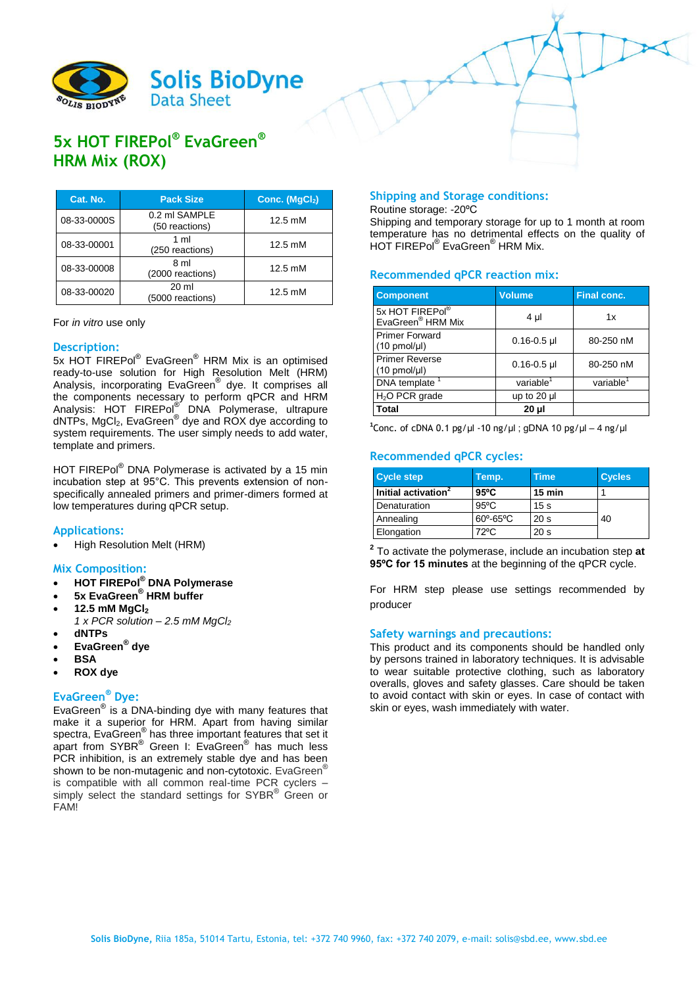

# **5x HOT FIREPol® EvaGreen® HRM Mix (ROX)**

| Cat. No.    | <b>Pack Size</b>                     | Conc. $(MgCl2)$   |
|-------------|--------------------------------------|-------------------|
| 08-33-0000S | 0.2 ml SAMPLE<br>(50 reactions)      | 12.5 mM           |
| 08-33-00001 | $1 \text{ ml}$<br>(250 reactions)    | $12.5 \text{ mM}$ |
| 08-33-00008 | 8 ml<br>(2000 reactions)             | 12.5 mM           |
| 08-33-00020 | $20 \mathrm{ml}$<br>(5000 reactions) | 12.5 mM           |

For *in vitro* use only

#### **Description:**

5x HOT FIREPol® EvaGreen<sup>®</sup> HRM Mix is an optimised ready-to-use solution for High Resolution Melt (HRM) Analysis, incorporating EvaGreen® dye. It comprises all the components necessary to perform qPCR and HRM Analysis: HOT FIREPol<sup>®</sup> DNA Polymerase, ultrapure dNTPs, MgCl<sub>2</sub>, EvaGreen<sup>®</sup> dye and ROX dye according to system requirements. The user simply needs to add water, template and primers.

HOT FIREPol® DNA Polymerase is activated by a 15 min incubation step at 95°C. This prevents extension of nonspecifically annealed primers and primer-dimers formed at low temperatures during qPCR setup.

## **Applications:**

High Resolution Melt (HRM)

#### **Mix Composition:**

- **HOT FIREPol® DNA Polymerase**
- **5x EvaGreen® HRM buffer**
- **12.5 mM MgCl<sup>2</sup>**
	- *1 x PCR solution – 2.5 mM MgCl<sup>2</sup>* **dNTPs**
- 
- **EvaGreen® dye BSA**
- 
- **ROX dye**

## **EvaGreen® Dye:**

EvaGreen® is a DNA-binding dye with many features that make it a superior for HRM. Apart from having similar spectra, EvaGreen® has three important features that set it apart from SYBR® Green I: EvaGreen® has much less PCR inhibition, is an extremely stable dye and has been shown to be non-mutagenic and non-cytotoxic. EvaGreen<sup>®</sup> is compatible with all common real-time PCR cyclers – simply select the standard settings for SYBR® Green or FAM!

#### **Shipping and Storage conditions:**

Routine storage: -20ºC

Shipping and temporary storage for up to 1 month at room temperature has no detrimental effects on the quality of HOT FIREPol® EvaGreen® HRM Mix.

## **Recommended qPCR reaction mix:**

| <b>Component</b>                                   | Volume                | <b>Final conc.</b>    |  |
|----------------------------------------------------|-----------------------|-----------------------|--|
| 5x HOT FIREPol®<br>EvaGreen <sup>®</sup> HRM Mix   | 4 µl                  | 1x                    |  |
| <b>Primer Forward</b><br>$(10 \text{ pmol/}\mu l)$ | $0.16 - 0.5$ µl       | 80-250 nM             |  |
| <b>Primer Reverse</b><br>$(10 \text{ pmol/}\mu l)$ | $0.16 - 0.5$ µl       | 80-250 nM             |  |
| DNA template                                       | variable <sup>1</sup> | variable <sup>1</sup> |  |
| $H2O$ PCR grade                                    | up to 20 µl           |                       |  |
| Total                                              | $20 \mu$              |                       |  |

<sup>1</sup>Conc. of cDNA 0.1 pg/µl -10 ng/µl ; gDNA 10 pg/µl – 4 ng/µl

# **Recommended qPCR cycles:**

| <b>Cycle step</b>               | Temp.                   | <b>Time</b>      | <b>Cycles</b> |
|---------------------------------|-------------------------|------------------|---------------|
| Initial activation <sup>2</sup> | $95^{\circ}$ C          | $15 \text{ min}$ |               |
| Denaturation                    | $95^{\circ}$ C          | 15 <sub>s</sub>  |               |
| Annealing                       | $60^\circ - 65^\circ$ C | 20 <sub>s</sub>  | 40            |
| Elongation                      | 72°C                    | 20 <sub>s</sub>  |               |

**2** To activate the polymerase, include an incubation step **at 95ºC for 15 minutes** at the beginning of the qPCR cycle.

For HRM step please use settings recommended by producer

#### **Safety warnings and precautions:**

This product and its components should be handled only by persons trained in laboratory techniques. It is advisable to wear suitable protective clothing, such as laboratory overalls, gloves and safety glasses. Care should be taken to avoid contact with skin or eyes. In case of contact with skin or eyes, wash immediately with water.